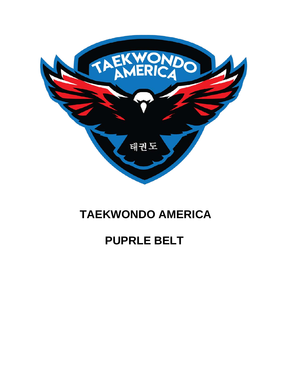

### **TAEKWONDO AMERICA**

## **PUPRLE BELT**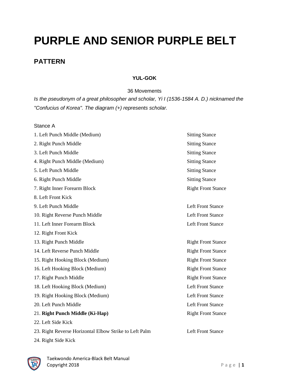# **PURPLE AND SENIOR PURPLE BELT**

#### **PATTERN**

#### **YUL-GOK**

36 Movements

*Is the pseudonym of a great philosopher and scholar, Yi I (1536-1584 A. D.) nicknamed the "Confucius of Korea". The diagram (+) represents scholar.* 

Stance A

| 1. Left Punch Middle (Medium)                          | <b>Sitting Stance</b>     |
|--------------------------------------------------------|---------------------------|
| 2. Right Punch Middle                                  | <b>Sitting Stance</b>     |
| 3. Left Punch Middle                                   | <b>Sitting Stance</b>     |
| 4. Right Punch Middle (Medium)                         | <b>Sitting Stance</b>     |
| 5. Left Punch Middle                                   | <b>Sitting Stance</b>     |
| 6. Right Punch Middle                                  | <b>Sitting Stance</b>     |
| 7. Right Inner Forearm Block                           | <b>Right Front Stance</b> |
| 8. Left Front Kick                                     |                           |
| 9. Left Punch Middle                                   | <b>Left Front Stance</b>  |
| 10. Right Reverse Punch Middle                         | <b>Left Front Stance</b>  |
| 11. Left Inner Forearm Block                           | <b>Left Front Stance</b>  |
| 12. Right Front Kick                                   |                           |
| 13. Right Punch Middle                                 | <b>Right Front Stance</b> |
| 14. Left Reverse Punch Middle                          | <b>Right Front Stance</b> |
| 15. Right Hooking Block (Medium)                       | <b>Right Front Stance</b> |
| 16. Left Hooking Block (Medium)                        | <b>Right Front Stance</b> |
| 17. Right Punch Middle                                 | <b>Right Front Stance</b> |
| 18. Left Hooking Block (Medium)                        | <b>Left Front Stance</b>  |
| 19. Right Hooking Block (Medium)                       | <b>Left Front Stance</b>  |
| 20. Left Punch Middle                                  | <b>Left Front Stance</b>  |
| 21. Right Punch Middle (Ki-Hap)                        | <b>Right Front Stance</b> |
| 22. Left Side Kick                                     |                           |
| 23. Right Reverse Horizontal Elbow Strike to Left Palm | <b>Left Front Stance</b>  |
| 24. Right Side Kick                                    |                           |